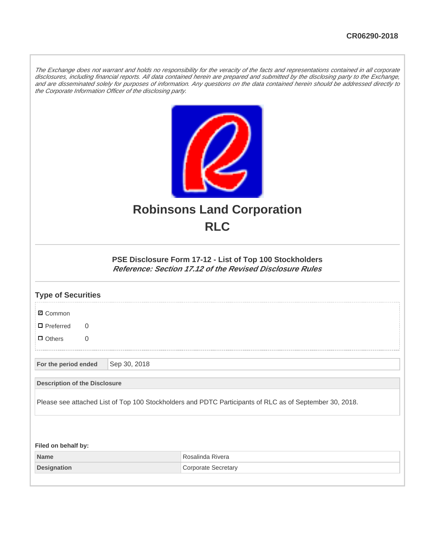The Exchange does not warrant and holds no responsibility for the veracity of the facts and representations contained in all corporate disclosures, including financial reports. All data contained herein are prepared and submitted by the disclosing party to the Exchange, and are disseminated solely for purposes of information. Any questions on the data contained herein should be addressed directly to the Corporate Information Officer of the disclosing party.



## **Robinsons Land Corporation RLC**

## **PSE Disclosure Form 17-12 - List of Top 100 Stockholders Reference: Section 17.12 of the Revised Disclosure Rules**

| <b>Type of Securities</b>                                                                               |              |                            |  |
|---------------------------------------------------------------------------------------------------------|--------------|----------------------------|--|
| <b>Ø</b> Common                                                                                         |              |                            |  |
| $\blacksquare$ Preferred<br>$\Omega$                                                                    |              |                            |  |
| $\Box$ Others<br>$\overline{0}$                                                                         |              |                            |  |
| For the period ended                                                                                    | Sep 30, 2018 |                            |  |
| <b>Description of the Disclosure</b>                                                                    |              |                            |  |
| Please see attached List of Top 100 Stockholders and PDTC Participants of RLC as of September 30, 2018. |              |                            |  |
|                                                                                                         |              |                            |  |
| Filed on behalf by:                                                                                     |              |                            |  |
| <b>Name</b>                                                                                             |              | Rosalinda Rivera           |  |
| <b>Designation</b>                                                                                      |              | <b>Corporate Secretary</b> |  |
|                                                                                                         |              |                            |  |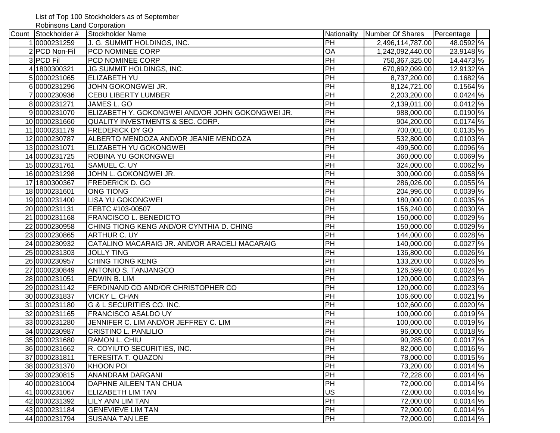List of Top 100 Stockholders as of September

Robinsons Land Corporation

| Count Stockholder # | <b>Stockholder Name</b>                          | Nationality     | Number Of Shares | Percentage       |
|---------------------|--------------------------------------------------|-----------------|------------------|------------------|
| 10000231259         | J. G. SUMMIT HOLDINGS, INC.                      | PH              | 2,496,114,787.00 | 48.0592 \%       |
| 2 PCD Non-Fil       | PCD NOMINEE CORP                                 | OA              | 1,242,092,440.00 | 23.9148 %        |
| 3 PCD Fil           | PCD NOMINEE CORP                                 | PH              | 750,367,325.00   | 14.4473 %        |
| 4 1800300321        | JG SUMMIT HOLDINGS, INC.                         | PH              | 670,692,099.00   | 12.9132 %        |
| 50000231065         | <b>ELIZABETH YU</b>                              | PH              | 8,737,200.00     | $0.1682\%$       |
| 60000231296         | JOHN GOKONGWEI JR.                               | PH              | 8,124,721.00     | $0.1564\%$       |
| 70000230936         | <b>CEBU LIBERTY LUMBER</b>                       | PH              | 2,203,200.00     | $0.0424\sqrt{2}$ |
| 80000231271         | JAMES L. GO                                      | PH              | 2,139,011.00     | $0.0412\%$       |
| 90000231070         | ELIZABETH Y. GOKONGWEI AND/OR JOHN GOKONGWEI JR. | PH              | 988,000.00       | $0.0190\%$       |
| 100000231660        | <b>QUALITY INVESTMENTS &amp; SEC. CORP.</b>      | PH              | 904,200.00       | $0.0174$ %       |
| 11 0000231179       | <b>FREDERICK DY GO</b>                           | PH              | 700,001.00       | $0.0135\%$       |
| 12 0000230787       | ALBERTO MENDOZA AND/OR JEANIE MENDOZA            | $\overline{PH}$ | 532,800.00       | $0.0103$ %       |
| 130000231071        | ELIZABETH YU GOKONGWEI                           | PH              | 499,500.00       | $0.0096$ %       |
| 14 0000231725       | ROBINA YU GOKONGWEI                              | $\overline{PH}$ | 360,000.00       | $0.0069$ %       |
| 150000231761        | SAMUEL C. UY                                     | $\overline{PH}$ | 324,000.00       | $0.0062$ %       |
| 16 0000231298       | JOHN L. GOKONGWEI JR.                            | $\overline{PH}$ | 300,000.00       | $0.0058$ %       |
| 17 1800300367       | FREDERICK D. GO                                  | $\overline{PH}$ | 286,026.00       | $0.0055$ %       |
| 180000231601        | <b>ONG TIONG</b>                                 | PH              | 204,996.00       | $0.0039\%$       |
| 190000231400        | <b>LISA YU GOKONGWEI</b>                         | PH              | 180,000.00       | $0.0035$ %       |
| 20 0000231131       | FEBTC #103-00507                                 | PH              | 156,240.00       | $0.0030\%$       |
| 21 0000231168       | <b>FRANCISCO L. BENEDICTO</b>                    | PH              | 150,000.00       | $0.0029\%$       |
| 22 0000230958       | CHING TIONG KENG AND/OR CYNTHIA D. CHING         | PH              | 150,000.00       | $0.0029\%$       |
| 23 0000230865       | <b>ARTHUR C. UY</b>                              | PH              | 144,000.00       | $0.0028$ %       |
| 24 0000230932       | CATALINO MACARAIG JR. AND/OR ARACELI MACARAIG    | $\overline{PH}$ | 140,000.00       | $0.0027$ %       |
| 25 0000231303       | <b>JOLLY TING</b>                                | $\overline{PH}$ | 136,800.00       | $0.0026$ %       |
| 26 0000230957       | <b>CHING TIONG KENG</b>                          | PH              | 133,200.00       | $0.0026$ %       |
| 27 0000230849       | ANTONIO S. TANJANGCO                             | PH              | 126,599.00       | $0.0024$ %       |
| 28 0000231051       | EDWIN B. LIM                                     | $\overline{PH}$ | 120,000.00       | $0.0023$ %       |
| 29 0000231142       | FERDINAND CO AND/OR CHRISTOPHER CO               | $\overline{PH}$ | 120,000.00       | $0.0023$ %       |
| 30 0000231837       | <b>VICKY L. CHAN</b>                             | PH              | 106,600.00       | $0.0021$ \%      |
| 31 0000231180       | <b>G &amp; L SECURITIES CO. INC.</b>             | $\overline{PH}$ | 102,600.00       | $0.0020\%$       |
| 32 0000231165       | FRANCISCO ASALDO UY                              | PH              | 100,000.00       | $0.0019$ %       |
| 33 0000231280       | JENNIFER C. LIM AND/OR JEFFREY C. LIM            | $\overline{PH}$ | 100,000.00       | $0.0019$ %       |
| 34 0000230987       | CRISTINO L. PANLILIO                             | PH              | 96,000.00        | $0.0018\%$       |
| 35 0000231680       | RAMON L. CHIU                                    | PH              | 90,285.00        | $0.0017\%$       |
| 36 0000231662       | R. COYIUTO SECURITIES, INC.                      | PH              | 82,000.00        | $0.0016$ %       |
| 37 0000231811       | <b>TERESITA T. QUAZON</b>                        | PH              | 78,000.00        | $0.0015\%$       |
| 38 0000231370       | KHOON POI                                        | PH              | 73,200.00        | $0.0014$ %       |
| 39 0000230815       | <b>ANANDRAM DARGANI</b>                          | PH              | 72,228.00        | $0.0014$ %       |
| 40 0000231004       | DAPHNE AILEEN TAN CHUA                           | PH              | 72,000.00        | $0.0014$ %       |
| 41 0000231067       | <b>ELIZABETH LIM TAN</b>                         | US              | 72,000.00        | $0.0014$ %       |
| 42 0000231392       | LILY ANN LIM TAN                                 | PH              | 72,000.00        | $0.0014$ %       |
| 430000231184        | <b>GENEVIEVE LIM TAN</b>                         | PH              | 72,000.00        | $0.0014$ %       |
| 44 0000231794       | SUSANA TAN LEE                                   | PH              | 72,000.00        | $0.0014\%$       |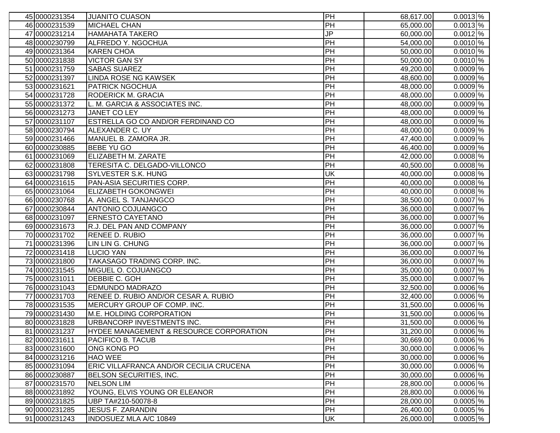| 45 0000231354 | <b>JUANITO CUASON</b>                   | PH        | 68,617.00 | $0.0013$ % |
|---------------|-----------------------------------------|-----------|-----------|------------|
| 46 0000231539 | <b>MICHAEL CHAN</b>                     | PH        | 65,000.00 | $0.0013\%$ |
| 47 0000231214 | <b>HAMAHATA TAKERO</b>                  | JP        | 60,000.00 | $0.0012\%$ |
| 48 0000230799 | ALFREDO Y. NGOCHUA                      | PH        | 54,000.00 | $0.0010$ % |
| 49 0000231364 | <b>KAREN CHOA</b>                       | PH        | 50,000.00 | $0.0010\%$ |
| 50 0000231838 | <b>VICTOR GAN SY</b>                    | PH        | 50,000.00 | $0.0010$ % |
| 51 0000231759 | <b>SABAS SUAREZ</b>                     | PH        | 49,200.00 | $0.0009\%$ |
| 52 0000231397 | <b>LINDA ROSE NG KAWSEK</b>             | PH        | 48,600.00 | $0.0009\%$ |
| 530000231621  | <b>PATRICK NGOCHUA</b>                  | PH        | 48,000.00 | $0.0009\%$ |
| 54 0000231728 | RODERICK M. GRACIA                      | PH        | 48,000.00 | $0.0009\%$ |
| 55 0000231372 | L. M. GARCIA & ASSOCIATES INC.          | PH        | 48,000.00 | $0.0009$ % |
| 56 0000231273 | <b>JANET CO LEY</b>                     | PH        | 48,000.00 | $0.0009$ % |
| 57 0000231107 | ESTRELLA GO CO AND/OR FERDINAND CO      | PH        | 48,000.00 | $0.0009$ % |
| 58 0000230794 | ALEXANDER C. UY                         | PH        | 48,000.00 | $0.0009\%$ |
| 59 0000231466 | MANUEL B. ZAMORA JR.                    | PH        | 47,400.00 | $0.0009$ % |
| 60 0000230885 | <b>BEBE YU GO</b>                       | PH        | 46,400.00 | $0.0009$ % |
| 61 0000231069 | ELIZABETH M. ZARATE                     | PH        | 42,000.00 | $0.0008$ % |
| 62 0000231808 | TERESITA C. DELGADO-VILLONCO            | PH        | 40,500.00 | $0.0008$ % |
| 630000231798  | SYLVESTER S.K. HUNG                     | UK        | 40,000.00 | $0.0008$ % |
| 64 0000231615 | PAN-ASIA SECURITIES CORP.               | PH        | 40,000.00 | $0.0008$ % |
| 65 0000231064 | <b>ELIZABETH GOKONGWEI</b>              | PH        | 40,000.00 | $0.0008\%$ |
| 66 0000230768 | A. ANGEL S. TANJANGCO                   | PH        | 38,500.00 | $0.0007$ % |
| 67 0000230844 | <b>ANTONIO COJUANGCO</b>                | PH        | 36,000.00 | $0.0007$ % |
| 68 0000231097 | <b>ERNESTO CAYETANO</b>                 | PH        | 36,000.00 | $0.0007$ % |
| 690000231673  | R.J. DEL PAN AND COMPANY                | PH        | 36,000.00 | $0.0007$ % |
| 70 0000231702 | <b>RENEE D. RUBIO</b>                   | PH        | 36,000.00 | $0.0007$ % |
| 71 0000231396 | LIN LIN G. CHUNG                        | PH        | 36,000.00 | $0.0007$ % |
| 720000231418  | <b>LUCIO YAN</b>                        | PH        | 36,000.00 | $0.0007$ % |
| 730000231800  | TAKASAGO TRADING CORP. INC.             | PH        | 36,000.00 | $0.0007$ % |
| 74 0000231545 | MIGUEL O. COJUANGCO                     | PH        | 35,000.00 | $0.0007$ % |
| 75 0000231011 | DEBBIE C. GOH                           | <b>PH</b> | 35,000.00 | $0.0007$ % |
| 76 0000231043 | <b>EDMUNDO MADRAZO</b>                  | PH        | 32,500.00 | $0.0006$ % |
| 770000231703  | RENEE D. RUBIO AND/OR CESAR A. RUBIO    | PH        | 32,400.00 | $0.0006$ % |
| 78 0000231535 | MERCURY GROUP OF COMP. INC.             | PH        | 31,500.00 | $0.0006$ % |
| 790000231430  | M.E. HOLDING CORPORATION                | PH        | 31,500.00 | $0.0006\%$ |
| 80 0000231828 | URBANCORP INVESTMENTS INC.              | PH        | 31,500.00 | $0.0006$ % |
| 81 0000231237 | HYDEE MANAGEMENT & RESOURCE CORPORATION | PH        | 31,200.00 | $0.0006$ % |
| 82 0000231611 | PACIFICO B. TACUB                       | PH        | 30,669.00 | $0.0006$ % |
| 83 0000231600 | ONG KONG PO                             | <b>PH</b> | 30,000.00 | $0.0006$ % |
| 84 0000231216 | <b>HAO WEE</b>                          | PH        | 30,000.00 | $0.0006$ % |
| 85 0000231094 | ERIC VILLAFRANCA AND/OR CECILIA CRUCENA | PH        | 30,000.00 | $0.0006$ % |
| 86 0000230887 | BELSON SECURITIES, INC.                 | PH        | 30,000.00 | $0.0006$ % |
| 87 0000231570 | <b>NELSON LIM</b>                       | <b>PH</b> | 28,800.00 | $0.0006$ % |
| 88 0000231892 | YOUNG, ELVIS YOUNG OR ELEANOR           | <b>PH</b> | 28,800.00 | $0.0006$ % |
| 89 0000231825 | UBP TA#210-50078-8                      | <b>PH</b> | 28,000.00 | $0.0005$ % |
| 90 0000231285 | <b>JESUS F. ZARANDIN</b>                | PH        | 26,400.00 | $0.0005$ % |
| 91 0000231243 | INDOSUEZ MLA A/C 10849                  | UK        | 26,000.00 | $0.0005$ % |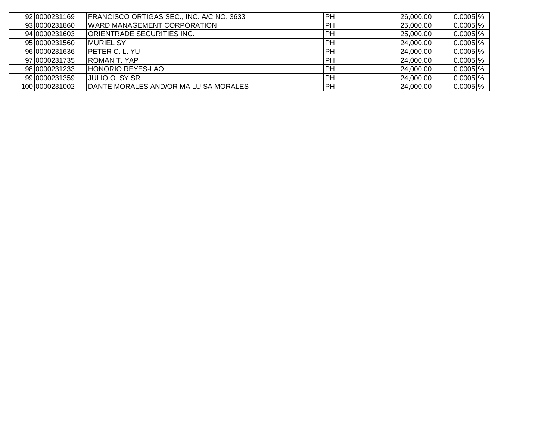| 92 0000231169  | FRANCISCO ORTIGAS SEC., INC. A/C NO. 3633 | <b>PH</b> | 26,000.00 | $0.0005\frac{8}{6}$ |
|----------------|-------------------------------------------|-----------|-----------|---------------------|
| 9310000231860  | <b>IWARD MANAGEMENT CORPORATION</b>       | <b>PH</b> | 25,000.00 | $0.0005$  %         |
| 94 0000231603  | ORIENTRADE SECURITIES INC.                | <b>PH</b> | 25,000.00 | $0.0005$  %         |
| 95 0000231560  | <b>IMURIEL SY</b>                         | <b>PH</b> | 24,000.00 | $0.0005$ %          |
| 96 0000231636  | <b>IPETER C. L. YU</b>                    | <b>PH</b> | 24,000.00 | $0.0005$ %          |
| 97 0000231735  | <b>IROMAN T. YAP</b>                      | <b>PH</b> | 24,000.00 | $0.0005$ %          |
| 98 0000231233  | <b>HONORIO REYES-LAO</b>                  | <b>PH</b> | 24,000.00 | $0.0005$ %          |
| 99 0000231359  | <b>IJULIO O. SY SR.</b>                   | <b>PH</b> | 24,000.00 | $0.0005$ %          |
| 100 0000231002 | DANTE MORALES AND/OR MA LUISA MORALES     | <b>PH</b> | 24,000.00 | $0.0005$ %          |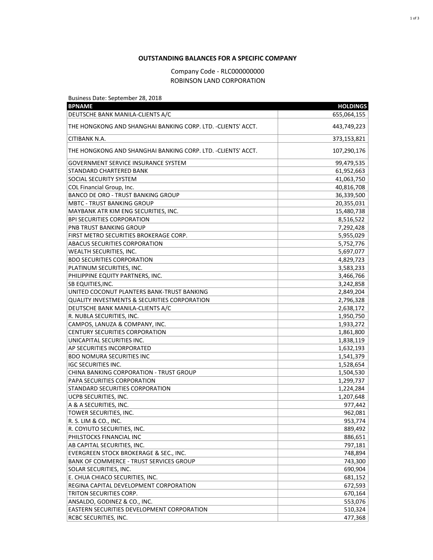## **OUTSTANDING BALANCES FOR A SPECIFIC COMPANY**

## Company Code - RLC000000000 ROBINSON LAND CORPORATION

| Business Date: September 28, 2018                                          |                 |
|----------------------------------------------------------------------------|-----------------|
| <b>BPNAME</b>                                                              | <b>HOLDINGS</b> |
| DEUTSCHE BANK MANILA-CLIENTS A/C                                           | 655,064,155     |
| THE HONGKONG AND SHANGHAI BANKING CORP. LTD. -CLIENTS' ACCT.               | 443,749,223     |
| CITIBANK N.A.                                                              | 373,153,821     |
| THE HONGKONG AND SHANGHAI BANKING CORP. LTD. -CLIENTS' ACCT.               | 107,290,176     |
| <b>GOVERNMENT SERVICE INSURANCE SYSTEM</b>                                 | 99,479,535      |
| STANDARD CHARTERED BANK                                                    | 61,952,663      |
| SOCIAL SECURITY SYSTEM                                                     | 41,063,750      |
| COL Financial Group, Inc.                                                  | 40,816,708      |
| <b>BANCO DE ORO - TRUST BANKING GROUP</b>                                  | 36,339,500      |
| <b>MBTC - TRUST BANKING GROUP</b>                                          | 20,355,031      |
| MAYBANK ATR KIM ENG SECURITIES, INC.                                       | 15,480,738      |
| <b>BPI SECURITIES CORPORATION</b>                                          | 8,516,522       |
| PNB TRUST BANKING GROUP                                                    | 7,292,428       |
| FIRST METRO SECURITIES BROKERAGE CORP.                                     | 5,955,029       |
| <b>ABACUS SECURITIES CORPORATION</b>                                       | 5,752,776       |
| <b>WEALTH SECURITIES, INC.</b>                                             | 5,697,077       |
| <b>BDO SECURITIES CORPORATION</b>                                          | 4,829,723       |
| PLATINUM SECURITIES, INC.                                                  | 3,583,233       |
| PHILIPPINE EQUITY PARTNERS, INC.                                           | 3,466,766       |
| SB EQUITIES, INC.                                                          | 3,242,858       |
| UNITED COCONUT PLANTERS BANK-TRUST BANKING                                 | 2,849,204       |
| <b>QUALITY INVESTMENTS &amp; SECURITIES CORPORATION</b>                    | 2,796,328       |
| DEUTSCHE BANK MANILA-CLIENTS A/C                                           | 2,638,172       |
| R. NUBLA SECURITIES, INC.                                                  | 1,950,750       |
| CAMPOS, LANUZA & COMPANY, INC.                                             | 1,933,272       |
| <b>CENTURY SECURITIES CORPORATION</b>                                      | 1,861,800       |
| UNICAPITAL SECURITIES INC.                                                 | 1,838,119       |
| AP SECURITIES INCORPORATED                                                 | 1,632,193       |
| <b>BDO NOMURA SECURITIES INC</b>                                           | 1,541,379       |
| <b>IGC SECURITIES INC.</b>                                                 | 1,528,654       |
| CHINA BANKING CORPORATION - TRUST GROUP                                    | 1,504,530       |
| PAPA SECURITIES CORPORATION                                                | 1,299,737       |
| STANDARD SECURITIES CORPORATION                                            | 1,224,284       |
| UCPB SECURITIES, INC.                                                      | 1,207,648       |
| A & A SECURITIES, INC.                                                     | 977,442         |
| TOWER SECURITIES, INC.                                                     | 962,081         |
| R. S. LIM & CO., INC.                                                      | 953,774         |
| R. COYIUTO SECURITIES, INC.                                                | 889,492         |
| PHILSTOCKS FINANCIAL INC                                                   | 886,651         |
| AB CAPITAL SECURITIES, INC.                                                | 797,181         |
| EVERGREEN STOCK BROKERAGE & SEC., INC.                                     | 748,894         |
| BANK OF COMMERCE - TRUST SERVICES GROUP                                    | 743,300         |
| SOLAR SECURITIES, INC.                                                     | 690,904         |
| E. CHUA CHIACO SECURITIES, INC.                                            | 681,152         |
| REGINA CAPITAL DEVELOPMENT CORPORATION                                     |                 |
| TRITON SECURITIES CORP.                                                    | 672,593         |
|                                                                            | 670,164         |
| ANSALDO, GODINEZ & CO., INC.<br>EASTERN SECURITIES DEVELOPMENT CORPORATION | 553,076         |
|                                                                            | 510,324         |
| RCBC SECURITIES, INC.                                                      | 477,368         |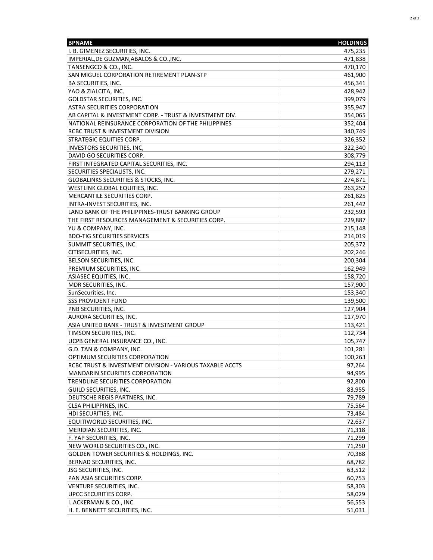| <b>BPNAME</b>                                            | <b>HOLDINGS</b> |
|----------------------------------------------------------|-----------------|
| I. B. GIMENEZ SECURITIES, INC.                           | 475,235         |
| IMPERIAL, DE GUZMAN, ABALOS & CO., INC.                  | 471,838         |
| TANSENGCO & CO., INC.                                    | 470,170         |
| SAN MIGUEL CORPORATION RETIREMENT PLAN-STP               | 461,900         |
| <b>BA SECURITIES, INC.</b>                               | 456,341         |
| YAO & ZIALCITA, INC.                                     | 428,942         |
| <b>GOLDSTAR SECURITIES, INC.</b>                         | 399,079         |
| <b>ASTRA SECURITIES CORPORATION</b>                      | 355,947         |
| AB CAPITAL & INVESTMENT CORP. - TRUST & INVESTMENT DIV.  | 354,065         |
| NATIONAL REINSURANCE CORPORATION OF THE PHILIPPINES      | 352,404         |
| <b>RCBC TRUST &amp; INVESTMENT DIVISION</b>              | 340,749         |
| <b>STRATEGIC EQUITIES CORP.</b>                          | 326,352         |
| INVESTORS SECURITIES, INC,                               | 322,340         |
| DAVID GO SECURITIES CORP.                                | 308,779         |
| FIRST INTEGRATED CAPITAL SECURITIES, INC.                | 294,113         |
| SECURITIES SPECIALISTS, INC.                             | 279,271         |
| <b>GLOBALINKS SECURITIES &amp; STOCKS, INC.</b>          | 274,871         |
| WESTLINK GLOBAL EQUITIES, INC.                           | 263,252         |
| MERCANTILE SECURITIES CORP.                              | 261,825         |
| INTRA-INVEST SECURITIES, INC.                            | 261,442         |
| LAND BANK OF THE PHILIPPINES-TRUST BANKING GROUP         | 232,593         |
| THE FIRST RESOURCES MANAGEMENT & SECURITIES CORP.        | 229,887         |
| YU & COMPANY, INC.                                       | 215,148         |
| <b>BDO-TIG SECURITIES SERVICES</b>                       | 214,019         |
| SUMMIT SECURITIES, INC.                                  | 205,372         |
| CITISECURITIES, INC.                                     | 202,246         |
| BELSON SECURITIES, INC.                                  | 200,304         |
| PREMIUM SECURITIES, INC.                                 | 162,949         |
| ASIASEC EQUITIES, INC.                                   | 158,720         |
| MDR SECURITIES, INC.                                     | 157,900         |
| SunSecurities, Inc.                                      | 153,340         |
| <b>SSS PROVIDENT FUND</b>                                | 139,500         |
| PNB SECURITIES, INC.                                     | 127,904         |
| <b>AURORA SECURITIES, INC.</b>                           | 117,970         |
| ASIA UNITED BANK - TRUST & INVESTMENT GROUP              | 113,421         |
| TIMSON SECURITIES, INC.                                  | 112,734         |
| UCPB GENERAL INSURANCE CO., INC.                         | 105,747         |
| G.D. TAN & COMPANY, INC.                                 | 101,281         |
| OPTIMUM SECURITIES CORPORATION                           | 100,263         |
| RCBC TRUST & INVESTMENT DIVISION - VARIOUS TAXABLE ACCTS | 97,264          |
| <b>MANDARIN SECURITIES CORPORATION</b>                   | 94,995          |
| TRENDLINE SECURITIES CORPORATION                         | 92,800          |
| GUILD SECURITIES, INC.                                   | 83,955          |
| DEUTSCHE REGIS PARTNERS, INC.                            | 79,789          |
| CLSA PHILIPPINES, INC.                                   | 75,564          |
| HDI SECURITIES, INC.                                     | 73,484          |
| EQUITIWORLD SECURITIES, INC.                             | 72,637          |
| MERIDIAN SECURITIES, INC.                                | 71,318          |
| F. YAP SECURITIES, INC.                                  | 71,299          |
| NEW WORLD SECURITIES CO., INC.                           | 71,250          |
| GOLDEN TOWER SECURITIES & HOLDINGS, INC.                 | 70,388          |
| BERNAD SECURITIES, INC.                                  | 68,782          |
| JSG SECURITIES, INC.                                     | 63,512          |
| PAN ASIA SECURITIES CORP.                                | 60,753          |
| VENTURE SECURITIES, INC.                                 | 58,303          |
| UPCC SECURITIES CORP.                                    | 58,029          |
| I. ACKERMAN & CO., INC.                                  | 56,553          |
| H. E. BENNETT SECURITIES, INC.                           | 51,031          |
|                                                          |                 |